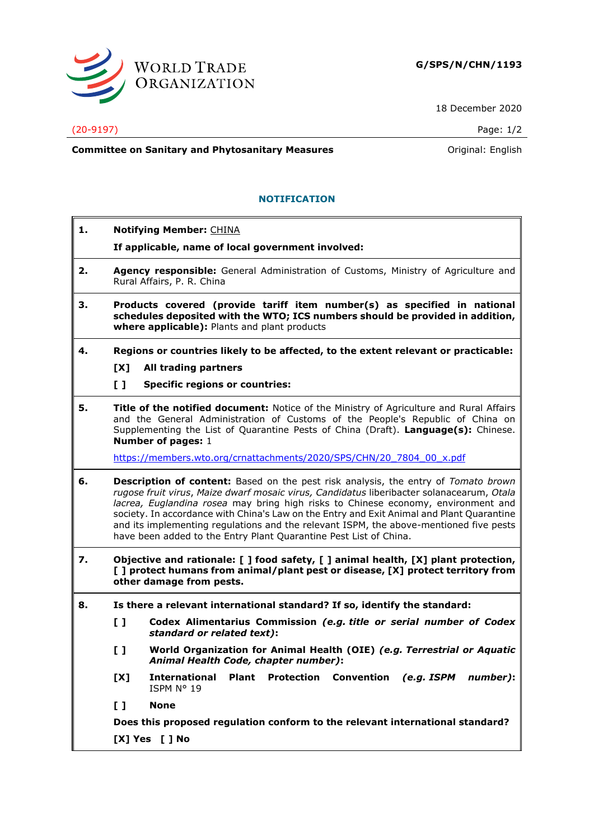

18 December 2020

## (20-9197) Page: 1/2

**Committee on Sanitary and Phytosanitary Measures Committee on Sanitary and Phytosanitary Measures Original: English** 

- **1. Notifying Member:** CHINA
	- **If applicable, name of local government involved:**
- **2. Agency responsible:** General Administration of Customs, Ministry of Agriculture and Rural Affairs, P. R. China

**NOTIFICATION**

- **3. Products covered (provide tariff item number(s) as specified in national schedules deposited with the WTO; ICS numbers should be provided in addition, where applicable):** Plants and plant products
- **4. Regions or countries likely to be affected, to the extent relevant or practicable:**
	- **[X] All trading partners**
	- **[ ] Specific regions or countries:**
- **5. Title of the notified document:** Notice of the Ministry of Agriculture and Rural Affairs and the General Administration of Customs of the People's Republic of China on Supplementing the List of Quarantine Pests of China (Draft). **Language(s):** Chinese. **Number of pages:** 1

[https://members.wto.org/crnattachments/2020/SPS/CHN/20\\_7804\\_00\\_x.pdf](https://members.wto.org/crnattachments/2020/SPS/CHN/20_7804_00_x.pdf)

- **6. Description of content:** Based on the pest risk analysis, the entry of *Tomato brown rugose fruit virus*, *Maize dwarf mosaic virus, Candidatus* liberibacter solanacearum, *Otala lacrea, Euglandina rosea* may bring high risks to Chinese economy, environment and society. In accordance with China's Law on the Entry and Exit Animal and Plant Quarantine and its implementing regulations and the relevant ISPM, the above-mentioned five pests have been added to the Entry Plant Quarantine Pest List of China.
- **7. Objective and rationale: [ ] food safety, [ ] animal health, [X] plant protection, [ ] protect humans from animal/plant pest or disease, [X] protect territory from other damage from pests.**
- **8. Is there a relevant international standard? If so, identify the standard:**
	- **[ ] Codex Alimentarius Commission** *(e.g. title or serial number of Codex standard or related text)***:**
	- **[ ] World Organization for Animal Health (OIE)** *(e.g. Terrestrial or Aquatic Animal Health Code, chapter number)***:**
	- **[X] International Plant Protection Convention** *(e.g. ISPM number)***:** ISPM N° 19
	- **[ ] None**

**Does this proposed regulation conform to the relevant international standard? [X] Yes [ ] No**